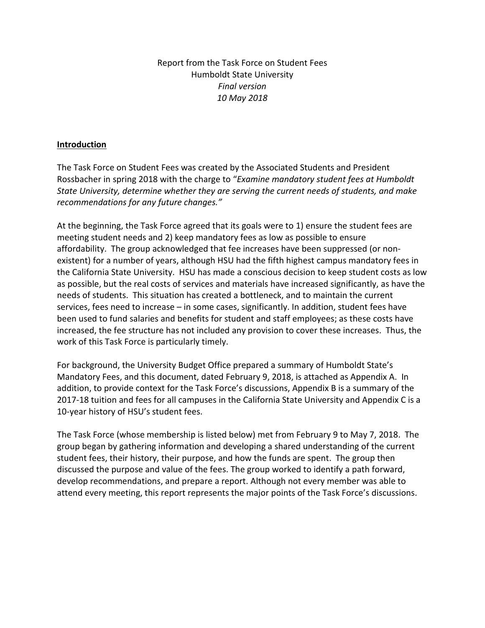Report from the Task Force on Student Fees Humboldt State University *Final version 10 May 2018*

#### **Introduction**

The Task Force on Student Fees was created by the Associated Students and President Rossbacher in spring 2018 with the charge to "*Examine mandatory student fees at Humboldt State University, determine whether they are serving the current needs of students, and make recommendations for any future changes."* 

At the beginning, the Task Force agreed that its goals were to 1) ensure the student fees are meeting student needs and 2) keep mandatory fees as low as possible to ensure affordability. The group acknowledged that fee increases have been suppressed (or nonexistent) for a number of years, although HSU had the fifth highest campus mandatory fees in the California State University. HSU has made a conscious decision to keep student costs as low as possible, but the real costs of services and materials have increased significantly, as have the needs of students. This situation has created a bottleneck, and to maintain the current services, fees need to increase – in some cases, significantly. In addition, student fees have been used to fund salaries and benefits for student and staff employees; as these costs have increased, the fee structure has not included any provision to cover these increases. Thus, the work of this Task Force is particularly timely.

For background, the University Budget Office prepared a summary of Humboldt State's Mandatory Fees, and this document, dated February 9, 2018, is attached as Appendix A. In addition, to provide context for the Task Force's discussions, Appendix B is a summary of the 2017-18 tuition and fees for all campuses in the California State University and Appendix C is a 10-year history of HSU's student fees.

The Task Force (whose membership is listed below) met from February 9 to May 7, 2018. The group began by gathering information and developing a shared understanding of the current student fees, their history, their purpose, and how the funds are spent. The group then discussed the purpose and value of the fees. The group worked to identify a path forward, develop recommendations, and prepare a report. Although not every member was able to attend every meeting, this report represents the major points of the Task Force's discussions.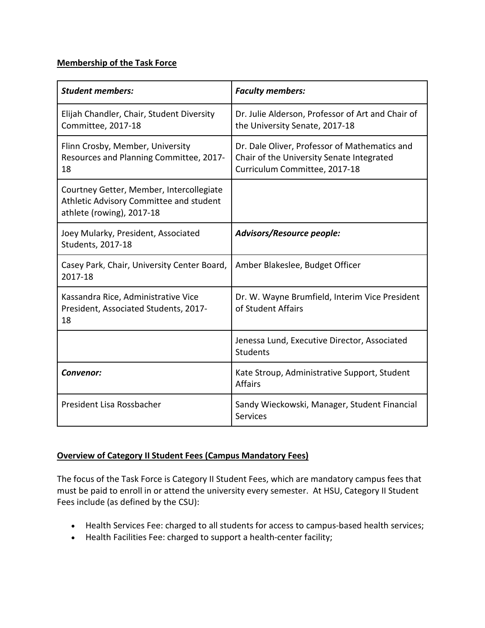### **Membership of the Task Force**

| <b>Student members:</b>                                                                                          | <b>Faculty members:</b>                                                                                                     |
|------------------------------------------------------------------------------------------------------------------|-----------------------------------------------------------------------------------------------------------------------------|
| Elijah Chandler, Chair, Student Diversity<br>Committee, 2017-18                                                  | Dr. Julie Alderson, Professor of Art and Chair of<br>the University Senate, 2017-18                                         |
| Flinn Crosby, Member, University<br>Resources and Planning Committee, 2017-<br>18                                | Dr. Dale Oliver, Professor of Mathematics and<br>Chair of the University Senate Integrated<br>Curriculum Committee, 2017-18 |
| Courtney Getter, Member, Intercollegiate<br>Athletic Advisory Committee and student<br>athlete (rowing), 2017-18 |                                                                                                                             |
| Joey Mularky, President, Associated<br>Students, 2017-18                                                         | Advisors/Resource people:                                                                                                   |
| Casey Park, Chair, University Center Board,<br>2017-18                                                           | Amber Blakeslee, Budget Officer                                                                                             |
| Kassandra Rice, Administrative Vice<br>President, Associated Students, 2017-<br>18                               | Dr. W. Wayne Brumfield, Interim Vice President<br>of Student Affairs                                                        |
|                                                                                                                  | Jenessa Lund, Executive Director, Associated<br><b>Students</b>                                                             |
| Convenor:                                                                                                        | Kate Stroup, Administrative Support, Student<br><b>Affairs</b>                                                              |
| President Lisa Rossbacher                                                                                        | Sandy Wieckowski, Manager, Student Financial<br><b>Services</b>                                                             |

## **Overview of Category II Student Fees (Campus Mandatory Fees)**

The focus of the Task Force is Category II Student Fees, which are mandatory campus fees that must be paid to enroll in or attend the university every semester. At HSU, Category II Student Fees include (as defined by the CSU):

- Health Services Fee: charged to all students for access to campus-based health services;
- Health Facilities Fee: charged to support a health-center facility;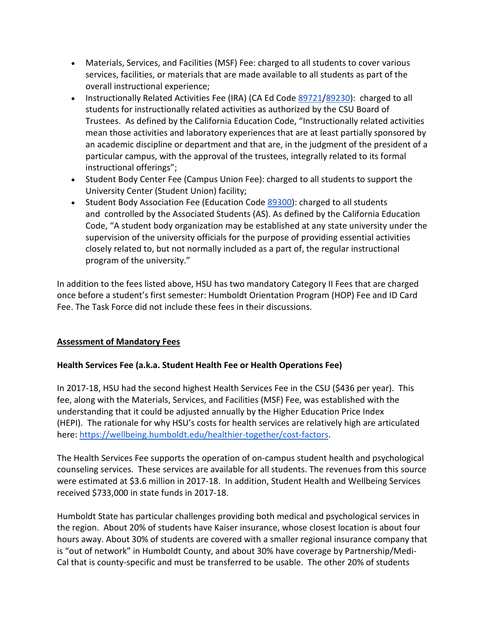- Materials, Services, and Facilities (MSF) Fee: charged to all students to cover various services, facilities, or materials that are made available to all students as part of the overall instructional experience;
- Instructionally Related Activities Fee (IRA) (CA Ed Code [89721](http://leginfo.legislature.ca.gov/faces/codes_displaySection.xhtml?sectionNum=89721.&lawCode=EDC)[/89230\)](http://leginfo.legislature.ca.gov/faces/codes_displaySection.xhtml?lawCode=EDC§ionNum=89230.&article=4.&highlight=true&keyword=instructionally+related+activities): charged to all students for instructionally related activities as authorized by the CSU Board of Trustees. As defined by the California Education Code, "Instructionally related activities mean those activities and laboratory experiences that are at least partially sponsored by an academic discipline or department and that are, in the judgment of the president of a particular campus, with the approval of the trustees, integrally related to its formal instructional offerings";
- Student Body Center Fee (Campus Union Fee): charged to all students to support the University Center (Student Union) facility;
- Student Body Association Fee (Education Cod[e 89300\)](http://leginfo.legislature.ca.gov/faces/codes_displaySection.xhtml?sectionNum=89300.&lawCode=EDC): charged to all students and controlled by the Associated Students (AS). As defined by the California Education Code, "A student body organization may be established at any state university under the supervision of the university officials for the purpose of providing essential activities closely related to, but not normally included as a part of, the regular instructional program of the university."

In addition to the fees listed above, HSU has two mandatory Category II Fees that are charged once before a student's first semester: Humboldt Orientation Program (HOP) Fee and ID Card Fee. The Task Force did not include these fees in their discussions.

### **Assessment of Mandatory Fees**

### **Health Services Fee (a.k.a. Student Health Fee or Health Operations Fee)**

In 2017-18, HSU had the second highest Health Services Fee in the CSU (\$436 per year). This fee, along with the Materials, Services, and Facilities (MSF) Fee, was established with the understanding that it could be adjusted annually by the Higher Education Price Index (HEPI). The rationale for why HSU's costs for health services are relatively high are articulated here: [https://wellbeing.humboldt.edu/healthier-together/cost-factors.](https://wellbeing.humboldt.edu/healthier-together/cost-factors)

The Health Services Fee supports the operation of on-campus student health and psychological counseling services. These services are available for all students. The revenues from this source were estimated at \$3.6 million in 2017-18. In addition, Student Health and Wellbeing Services received \$733,000 in state funds in 2017-18.

Humboldt State has particular challenges providing both medical and psychological services in the region. About 20% of students have Kaiser insurance, whose closest location is about four hours away. About 30% of students are covered with a smaller regional insurance company that is "out of network" in Humboldt County, and about 30% have coverage by Partnership/Medi-Cal that is county-specific and must be transferred to be usable. The other 20% of students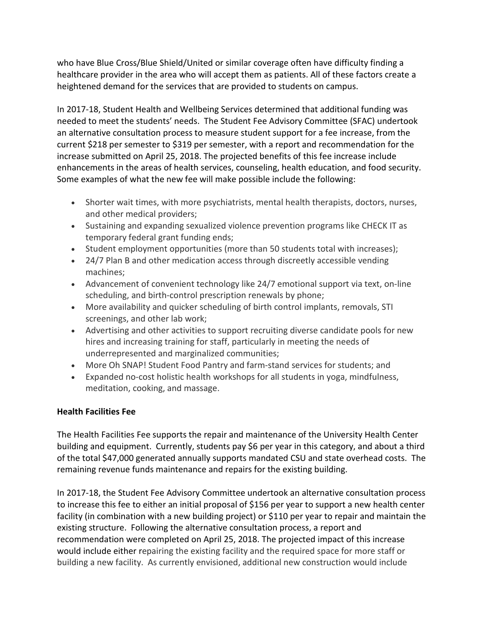who have Blue Cross/Blue Shield/United or similar coverage often have difficulty finding a healthcare provider in the area who will accept them as patients. All of these factors create a heightened demand for the services that are provided to students on campus.

In 2017-18, Student Health and Wellbeing Services determined that additional funding was needed to meet the students' needs. The Student Fee Advisory Committee (SFAC) undertook an alternative consultation process to measure student support for a fee increase, from the current \$218 per semester to \$319 per semester, with a report and recommendation for the increase submitted on April 25, 2018. The projected benefits of this fee increase include enhancements in the areas of health services, counseling, health education, and food security. Some examples of what the new fee will make possible include the following:

- Shorter wait times, with more psychiatrists, mental health therapists, doctors, nurses, and other medical providers;
- Sustaining and expanding sexualized violence prevention programs like CHECK IT as temporary federal grant funding ends;
- Student employment opportunities (more than 50 students total with increases);
- 24/7 Plan B and other medication access through discreetly accessible vending machines;
- Advancement of convenient technology like 24/7 emotional support via text, on-line scheduling, and birth-control prescription renewals by phone;
- More availability and quicker scheduling of birth control implants, removals, STI screenings, and other lab work;
- Advertising and other activities to support recruiting diverse candidate pools for new hires and increasing training for staff, particularly in meeting the needs of underrepresented and marginalized communities;
- More Oh SNAP! Student Food Pantry and farm-stand services for students; and
- Expanded no-cost holistic health workshops for all students in yoga, mindfulness, meditation, cooking, and massage.

### **Health Facilities Fee**

The Health Facilities Fee supports the repair and maintenance of the University Health Center building and equipment. Currently, students pay \$6 per year in this category, and about a third of the total \$47,000 generated annually supports mandated CSU and state overhead costs. The remaining revenue funds maintenance and repairs for the existing building.

In 2017-18, the Student Fee Advisory Committee undertook an alternative consultation process to increase this fee to either an initial proposal of \$156 per year to support a new health center facility (in combination with a new building project) or \$110 per year to repair and maintain the existing structure. Following the alternative consultation process, a report and recommendation were completed on April 25, 2018. The projected impact of this increase would include either repairing the existing facility and the required space for more staff or building a new facility. As currently envisioned, additional new construction would include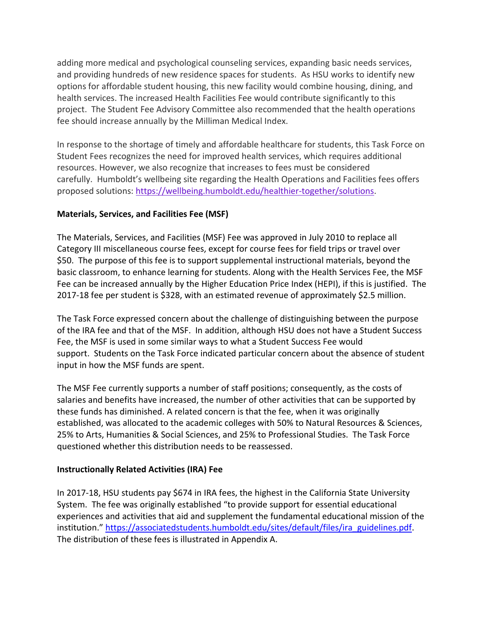adding more medical and psychological counseling services, expanding basic needs services, and providing hundreds of new residence spaces for students. As HSU works to identify new options for affordable student housing, this new facility would combine housing, dining, and health services. The increased Health Facilities Fee would contribute significantly to this project. The Student Fee Advisory Committee also recommended that the health operations fee should increase annually by the Milliman Medical Index.

In response to the shortage of timely and affordable healthcare for students, this Task Force on Student Fees recognizes the need for improved health services, which requires additional resources. However, we also recognize that increases to fees must be considered carefully. Humboldt's wellbeing site regarding the Health Operations and Facilities fees offers proposed solutions: [https://wellbeing.humboldt.edu/healthier-together/solutions.](https://wellbeing.humboldt.edu/healthier-together/solutions)

### **Materials, Services, and Facilities Fee (MSF)**

The Materials, Services, and Facilities (MSF) Fee was approved in July 2010 to replace all Category III miscellaneous course fees, except for course fees for field trips or travel over \$50. The purpose of this fee is to support supplemental instructional materials, beyond the basic classroom, to enhance learning for students. Along with the Health Services Fee, the MSF Fee can be increased annually by the Higher Education Price Index (HEPI), if this is justified. The 2017-18 fee per student is \$328, with an estimated revenue of approximately \$2.5 million.

The Task Force expressed concern about the challenge of distinguishing between the purpose of the IRA fee and that of the MSF. In addition, although HSU does not have a Student Success Fee, the MSF is used in some similar ways to what a Student Success Fee would support. Students on the Task Force indicated particular concern about the absence of student input in how the MSF funds are spent.

The MSF Fee currently supports a number of staff positions; consequently, as the costs of salaries and benefits have increased, the number of other activities that can be supported by these funds has diminished. A related concern is that the fee, when it was originally established, was allocated to the academic colleges with 50% to Natural Resources & Sciences, 25% to Arts, Humanities & Social Sciences, and 25% to Professional Studies. The Task Force questioned whether this distribution needs to be reassessed.

#### **Instructionally Related Activities (IRA) Fee**

In 2017-18, HSU students pay \$674 in IRA fees, the highest in the California State University System. The fee was originally established "to provide support for essential educational experiences and activities that aid and supplement the fundamental educational mission of the institution." [https://associatedstudents.humboldt.edu/sites/default/files/ira\\_guidelines.pdf.](https://associatedstudents.humboldt.edu/sites/default/files/ira_guidelines.pdf) The distribution of these fees is illustrated in Appendix A.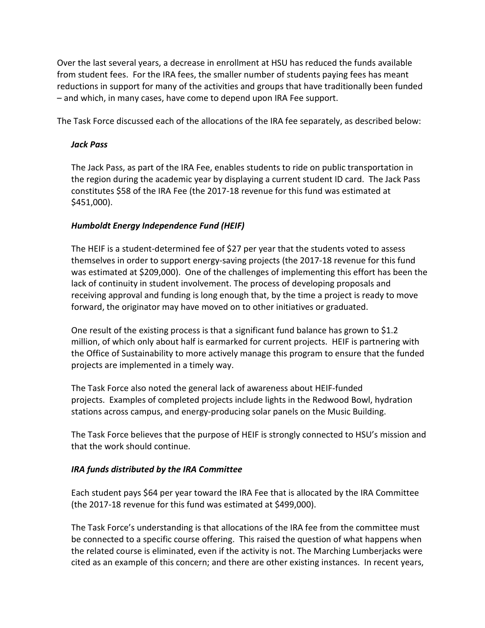Over the last several years, a decrease in enrollment at HSU has reduced the funds available from student fees. For the IRA fees, the smaller number of students paying fees has meant reductions in support for many of the activities and groups that have traditionally been funded – and which, in many cases, have come to depend upon IRA Fee support.

The Task Force discussed each of the allocations of the IRA fee separately, as described below:

#### *Jack Pass*

The Jack Pass, as part of the IRA Fee, enables students to ride on public transportation in the region during the academic year by displaying a current student ID card. The Jack Pass constitutes \$58 of the IRA Fee (the 2017-18 revenue for this fund was estimated at \$451,000).

### *Humboldt Energy Independence Fund (HEIF)*

The HEIF is a student-determined fee of \$27 per year that the students voted to assess themselves in order to support energy-saving projects (the 2017-18 revenue for this fund was estimated at \$209,000). One of the challenges of implementing this effort has been the lack of continuity in student involvement. The process of developing proposals and receiving approval and funding is long enough that, by the time a project is ready to move forward, the originator may have moved on to other initiatives or graduated.

One result of the existing process is that a significant fund balance has grown to \$1.2 million, of which only about half is earmarked for current projects. HEIF is partnering with the Office of Sustainability to more actively manage this program to ensure that the funded projects are implemented in a timely way.

The Task Force also noted the general lack of awareness about HEIF-funded projects. Examples of completed projects include lights in the Redwood Bowl, hydration stations across campus, and energy-producing solar panels on the Music Building.

The Task Force believes that the purpose of HEIF is strongly connected to HSU's mission and that the work should continue.

### *IRA funds distributed by the IRA Committee*

Each student pays \$64 per year toward the IRA Fee that is allocated by the IRA Committee (the 2017-18 revenue for this fund was estimated at \$499,000).

The Task Force's understanding is that allocations of the IRA fee from the committee must be connected to a specific course offering. This raised the question of what happens when the related course is eliminated, even if the activity is not. The Marching Lumberjacks were cited as an example of this concern; and there are other existing instances. In recent years,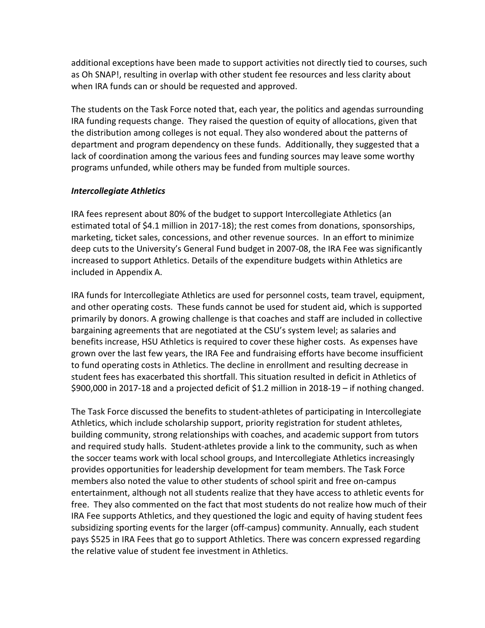additional exceptions have been made to support activities not directly tied to courses, such as Oh SNAP!, resulting in overlap with other student fee resources and less clarity about when IRA funds can or should be requested and approved.

The students on the Task Force noted that, each year, the politics and agendas surrounding IRA funding requests change. They raised the question of equity of allocations, given that the distribution among colleges is not equal. They also wondered about the patterns of department and program dependency on these funds. Additionally, they suggested that a lack of coordination among the various fees and funding sources may leave some worthy programs unfunded, while others may be funded from multiple sources.

### *Intercollegiate Athletics*

IRA fees represent about 80% of the budget to support Intercollegiate Athletics (an estimated total of \$4.1 million in 2017-18); the rest comes from donations, sponsorships, marketing, ticket sales, concessions, and other revenue sources. In an effort to minimize deep cuts to the University's General Fund budget in 2007-08, the IRA Fee was significantly increased to support Athletics. Details of the expenditure budgets within Athletics are included in Appendix A.

IRA funds for Intercollegiate Athletics are used for personnel costs, team travel, equipment, and other operating costs. These funds cannot be used for student aid, which is supported primarily by donors. A growing challenge is that coaches and staff are included in collective bargaining agreements that are negotiated at the CSU's system level; as salaries and benefits increase, HSU Athletics is required to cover these higher costs. As expenses have grown over the last few years, the IRA Fee and fundraising efforts have become insufficient to fund operating costs in Athletics. The decline in enrollment and resulting decrease in student fees has exacerbated this shortfall. This situation resulted in deficit in Athletics of \$900,000 in 2017-18 and a projected deficit of \$1.2 million in 2018-19 – if nothing changed.

The Task Force discussed the benefits to student-athletes of participating in Intercollegiate Athletics, which include scholarship support, priority registration for student athletes, building community, strong relationships with coaches, and academic support from tutors and required study halls. Student-athletes provide a link to the community, such as when the soccer teams work with local school groups, and Intercollegiate Athletics increasingly provides opportunities for leadership development for team members. The Task Force members also noted the value to other students of school spirit and free on-campus entertainment, although not all students realize that they have access to athletic events for free. They also commented on the fact that most students do not realize how much of their IRA Fee supports Athletics, and they questioned the logic and equity of having student fees subsidizing sporting events for the larger (off-campus) community. Annually, each student pays \$525 in IRA Fees that go to support Athletics. There was concern expressed regarding the relative value of student fee investment in Athletics.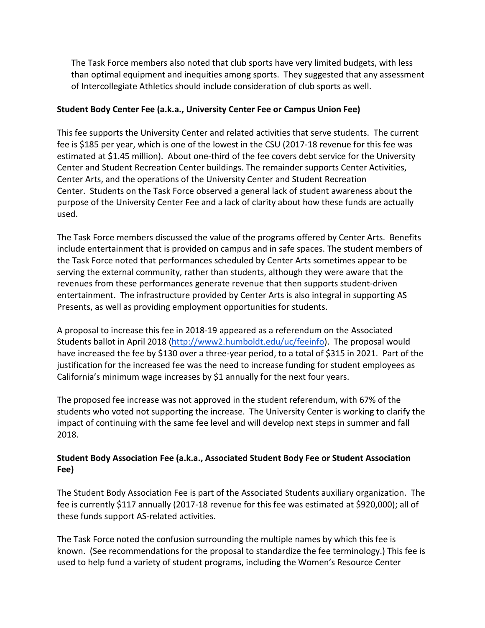The Task Force members also noted that club sports have very limited budgets, with less than optimal equipment and inequities among sports. They suggested that any assessment of Intercollegiate Athletics should include consideration of club sports as well.

### **Student Body Center Fee (a.k.a., University Center Fee or Campus Union Fee)**

This fee supports the University Center and related activities that serve students. The current fee is \$185 per year, which is one of the lowest in the CSU (2017-18 revenue for this fee was estimated at \$1.45 million). About one-third of the fee covers debt service for the University Center and Student Recreation Center buildings. The remainder supports Center Activities, Center Arts, and the operations of the University Center and Student Recreation Center. Students on the Task Force observed a general lack of student awareness about the purpose of the University Center Fee and a lack of clarity about how these funds are actually used.

The Task Force members discussed the value of the programs offered by Center Arts. Benefits include entertainment that is provided on campus and in safe spaces. The student members of the Task Force noted that performances scheduled by Center Arts sometimes appear to be serving the external community, rather than students, although they were aware that the revenues from these performances generate revenue that then supports student-driven entertainment. The infrastructure provided by Center Arts is also integral in supporting AS Presents, as well as providing employment opportunities for students.

A proposal to increase this fee in 2018-19 appeared as a referendum on the Associated Students ballot in April 2018 [\(http://www2.humboldt.edu/uc/feeinfo\)](http://www2.humboldt.edu/uc/feeinfo). The proposal would have increased the fee by \$130 over a three-year period, to a total of \$315 in 2021. Part of the justification for the increased fee was the need to increase funding for student employees as California's minimum wage increases by \$1 annually for the next four years.

The proposed fee increase was not approved in the student referendum, with 67% of the students who voted not supporting the increase. The University Center is working to clarify the impact of continuing with the same fee level and will develop next steps in summer and fall 2018.

## **Student Body Association Fee (a.k.a., Associated Student Body Fee or Student Association Fee)**

The Student Body Association Fee is part of the Associated Students auxiliary organization. The fee is currently \$117 annually (2017-18 revenue for this fee was estimated at \$920,000); all of these funds support AS-related activities.

The Task Force noted the confusion surrounding the multiple names by which this fee is known. (See recommendations for the proposal to standardize the fee terminology.) This fee is used to help fund a variety of student programs, including the Women's Resource Center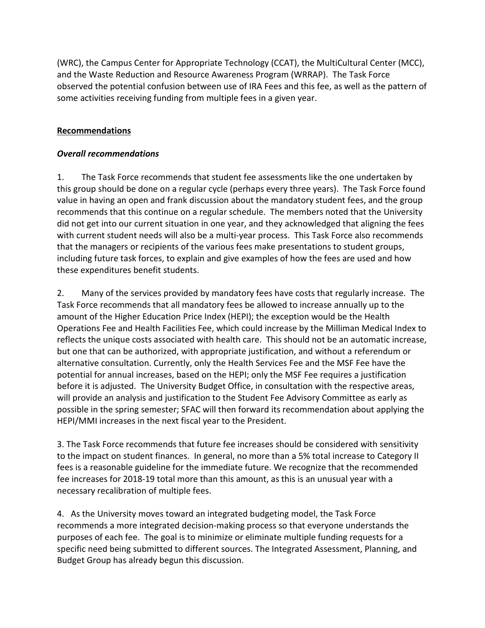(WRC), the Campus Center for Appropriate Technology (CCAT), the MultiCultural Center (MCC), and the Waste Reduction and Resource Awareness Program (WRRAP). The Task Force observed the potential confusion between use of IRA Fees and this fee, as well as the pattern of some activities receiving funding from multiple fees in a given year.

## **Recommendations**

### *Overall recommendations*

1. The Task Force recommends that student fee assessments like the one undertaken by this group should be done on a regular cycle (perhaps every three years). The Task Force found value in having an open and frank discussion about the mandatory student fees, and the group recommends that this continue on a regular schedule. The members noted that the University did not get into our current situation in one year, and they acknowledged that aligning the fees with current student needs will also be a multi-year process. This Task Force also recommends that the managers or recipients of the various fees make presentations to student groups, including future task forces, to explain and give examples of how the fees are used and how these expenditures benefit students.

2. Many of the services provided by mandatory fees have costs that regularly increase. The Task Force recommends that all mandatory fees be allowed to increase annually up to the amount of the Higher Education Price Index (HEPI); the exception would be the Health Operations Fee and Health Facilities Fee, which could increase by the Milliman Medical Index to reflects the unique costs associated with health care. This should not be an automatic increase, but one that can be authorized, with appropriate justification, and without a referendum or alternative consultation. Currently, only the Health Services Fee and the MSF Fee have the potential for annual increases, based on the HEPI; only the MSF Fee requires a justification before it is adjusted. The University Budget Office, in consultation with the respective areas, will provide an analysis and justification to the Student Fee Advisory Committee as early as possible in the spring semester; SFAC will then forward its recommendation about applying the HEPI/MMI increases in the next fiscal year to the President.

3. The Task Force recommends that future fee increases should be considered with sensitivity to the impact on student finances. In general, no more than a 5% total increase to Category II fees is a reasonable guideline for the immediate future. We recognize that the recommended fee increases for 2018-19 total more than this amount, as this is an unusual year with a necessary recalibration of multiple fees.

4. As the University moves toward an integrated budgeting model, the Task Force recommends a more integrated decision-making process so that everyone understands the purposes of each fee. The goal is to minimize or eliminate multiple funding requests for a specific need being submitted to different sources. The Integrated Assessment, Planning, and Budget Group has already begun this discussion.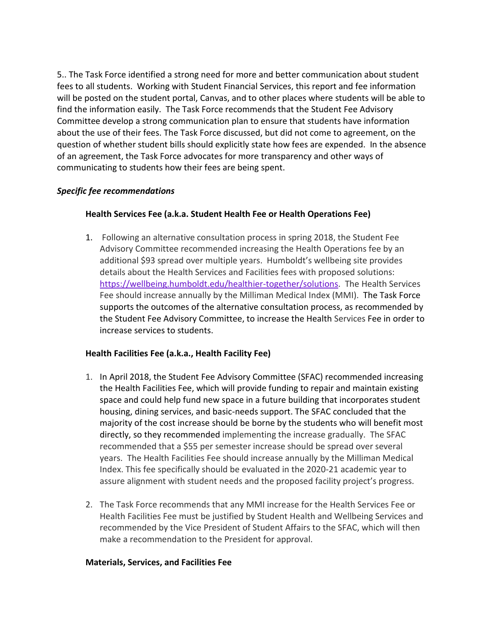5.. The Task Force identified a strong need for more and better communication about student fees to all students. Working with Student Financial Services, this report and fee information will be posted on the student portal, Canvas, and to other places where students will be able to find the information easily. The Task Force recommends that the Student Fee Advisory Committee develop a strong communication plan to ensure that students have information about the use of their fees. The Task Force discussed, but did not come to agreement, on the question of whether student bills should explicitly state how fees are expended. In the absence of an agreement, the Task Force advocates for more transparency and other ways of communicating to students how their fees are being spent.

### *Specific fee recommendations*

### **Health Services Fee (a.k.a. Student Health Fee or Health Operations Fee)**

1. Following an alternative consultation process in spring 2018, the Student Fee Advisory Committee recommended increasing the Health Operations fee by an additional \$93 spread over multiple years. Humboldt's wellbeing site provides details about the Health Services and Facilities fees with proposed solutions: [https://wellbeing.humboldt.edu/healthier-together/solutions.](https://wellbeing.humboldt.edu/healthier-together/solutions) The Health Services Fee should increase annually by the Milliman Medical Index (MMI). The Task Force supports the outcomes of the alternative consultation process, as recommended by the Student Fee Advisory Committee, to increase the Health Services Fee in order to increase services to students.

### **Health Facilities Fee (a.k.a., Health Facility Fee)**

- 1. In April 2018, the Student Fee Advisory Committee (SFAC) recommended increasing the Health Facilities Fee, which will provide funding to repair and maintain existing space and could help fund new space in a future building that incorporates student housing, dining services, and basic-needs support. The SFAC concluded that the majority of the cost increase should be borne by the students who will benefit most directly, so they recommended implementing the increase gradually. The SFAC recommended that a \$55 per semester increase should be spread over several years. The Health Facilities Fee should increase annually by the Milliman Medical Index. This fee specifically should be evaluated in the 2020-21 academic year to assure alignment with student needs and the proposed facility project's progress.
- 2. The Task Force recommends that any MMI increase for the Health Services Fee or Health Facilities Fee must be justified by Student Health and Wellbeing Services and recommended by the Vice President of Student Affairs to the SFAC, which will then make a recommendation to the President for approval.

#### **Materials, Services, and Facilities Fee**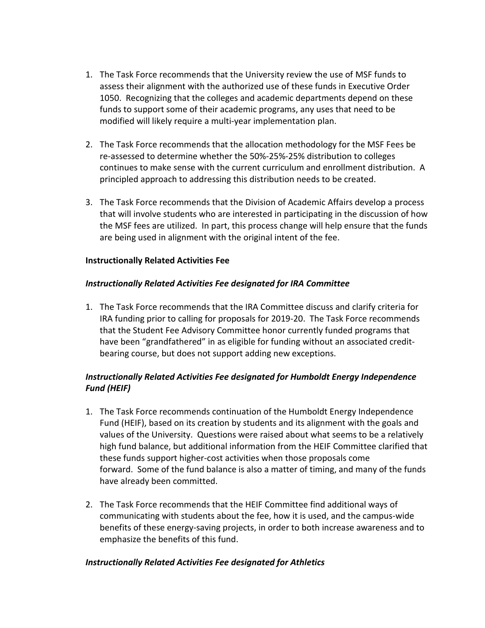- 1. The Task Force recommends that the University review the use of MSF funds to assess their alignment with the authorized use of these funds in Executive Order 1050. Recognizing that the colleges and academic departments depend on these funds to support some of their academic programs, any uses that need to be modified will likely require a multi-year implementation plan.
- 2. The Task Force recommends that the allocation methodology for the MSF Fees be re-assessed to determine whether the 50%-25%-25% distribution to colleges continues to make sense with the current curriculum and enrollment distribution. A principled approach to addressing this distribution needs to be created.
- 3. The Task Force recommends that the Division of Academic Affairs develop a process that will involve students who are interested in participating in the discussion of how the MSF fees are utilized. In part, this process change will help ensure that the funds are being used in alignment with the original intent of the fee.

#### **Instructionally Related Activities Fee**

### *Instructionally Related Activities Fee designated for IRA Committee*

1. The Task Force recommends that the IRA Committee discuss and clarify criteria for IRA funding prior to calling for proposals for 2019-20. The Task Force recommends that the Student Fee Advisory Committee honor currently funded programs that have been "grandfathered" in as eligible for funding without an associated creditbearing course, but does not support adding new exceptions.

## *Instructionally Related Activities Fee designated for Humboldt Energy Independence Fund (HEIF)*

- 1. The Task Force recommends continuation of the Humboldt Energy Independence Fund (HEIF), based on its creation by students and its alignment with the goals and values of the University. Questions were raised about what seems to be a relatively high fund balance, but additional information from the HEIF Committee clarified that these funds support higher-cost activities when those proposals come forward. Some of the fund balance is also a matter of timing, and many of the funds have already been committed.
- 2. The Task Force recommends that the HEIF Committee find additional ways of communicating with students about the fee, how it is used, and the campus-wide benefits of these energy-saving projects, in order to both increase awareness and to emphasize the benefits of this fund.

#### *Instructionally Related Activities Fee designated for Athletics*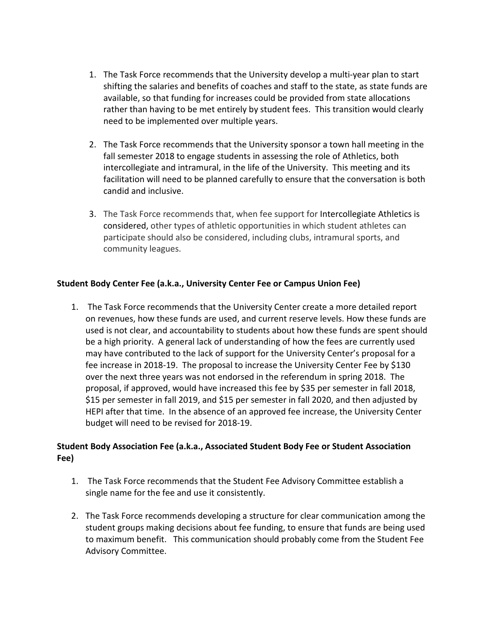- 1. The Task Force recommends that the University develop a multi-year plan to start shifting the salaries and benefits of coaches and staff to the state, as state funds are available, so that funding for increases could be provided from state allocations rather than having to be met entirely by student fees. This transition would clearly need to be implemented over multiple years.
- 2. The Task Force recommends that the University sponsor a town hall meeting in the fall semester 2018 to engage students in assessing the role of Athletics, both intercollegiate and intramural, in the life of the University. This meeting and its facilitation will need to be planned carefully to ensure that the conversation is both candid and inclusive.
- 3. The Task Force recommends that, when fee support for Intercollegiate Athletics is considered, other types of athletic opportunities in which student athletes can participate should also be considered, including clubs, intramural sports, and community leagues.

## **Student Body Center Fee (a.k.a., University Center Fee or Campus Union Fee)**

1. The Task Force recommends that the University Center create a more detailed report on revenues, how these funds are used, and current reserve levels. How these funds are used is not clear, and accountability to students about how these funds are spent should be a high priority. A general lack of understanding of how the fees are currently used may have contributed to the lack of support for the University Center's proposal for a fee increase in 2018-19. The proposal to increase the University Center Fee by \$130 over the next three years was not endorsed in the referendum in spring 2018. The proposal, if approved, would have increased this fee by \$35 per semester in fall 2018, \$15 per semester in fall 2019, and \$15 per semester in fall 2020, and then adjusted by HEPI after that time. In the absence of an approved fee increase, the University Center budget will need to be revised for 2018-19.

## **Student Body Association Fee (a.k.a., Associated Student Body Fee or Student Association Fee)**

- 1. The Task Force recommends that the Student Fee Advisory Committee establish a single name for the fee and use it consistently.
- 2. The Task Force recommends developing a structure for clear communication among the student groups making decisions about fee funding, to ensure that funds are being used to maximum benefit. This communication should probably come from the Student Fee Advisory Committee.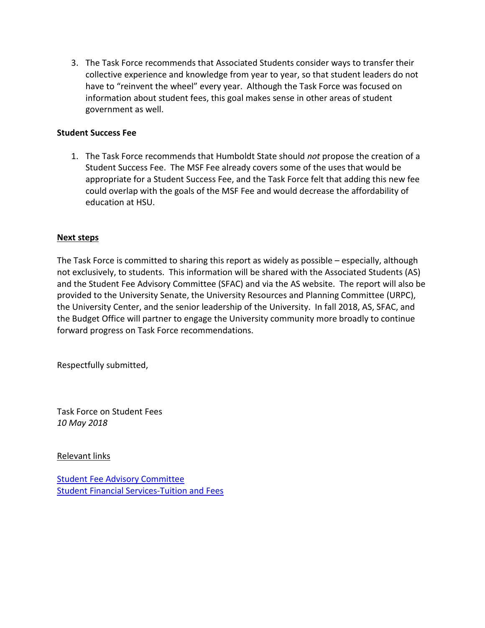3. The Task Force recommends that Associated Students consider ways to transfer their collective experience and knowledge from year to year, so that student leaders do not have to "reinvent the wheel" every year. Although the Task Force was focused on information about student fees, this goal makes sense in other areas of student government as well.

### **Student Success Fee**

1. The Task Force recommends that Humboldt State should *not* propose the creation of a Student Success Fee. The MSF Fee already covers some of the uses that would be appropriate for a Student Success Fee, and the Task Force felt that adding this new fee could overlap with the goals of the MSF Fee and would decrease the affordability of education at HSU.

#### **Next steps**

The Task Force is committed to sharing this report as widely as possible – especially, although not exclusively, to students. This information will be shared with the Associated Students (AS) and the Student Fee Advisory Committee (SFAC) and via the AS website. The report will also be provided to the University Senate, the University Resources and Planning Committee (URPC), the University Center, and the senior leadership of the University. In fall 2018, AS, SFAC, and the Budget Office will partner to engage the University community more broadly to continue forward progress on Task Force recommendations.

Respectfully submitted,

Task Force on Student Fees *10 May 2018*

Relevant links

[Student Fee Advisory Committee](https://studentfees.humboldt.edu/) [Student Financial Services-Tuition and Fees](https://www2.humboldt.edu/financialservices/node/44)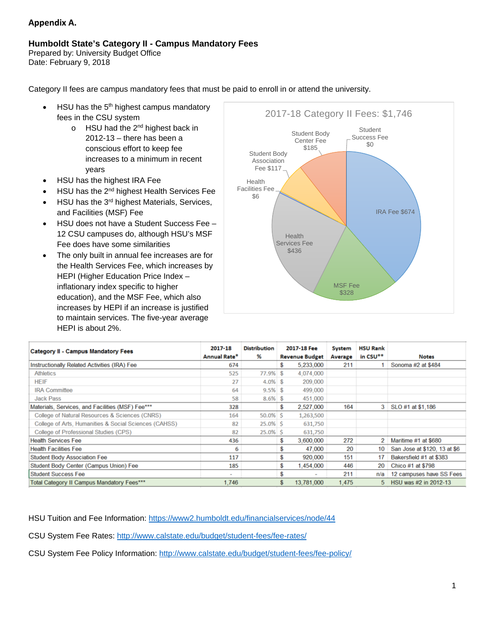#### **Appendix A.**

#### **Humboldt State's Category II - Campus Mandatory Fees**

Prepared by: University Budget Office Date: February 9, 2018

Category II fees are campus mandatory fees that must be paid to enroll in or attend the university.

- HSU has the  $5<sup>th</sup>$  highest campus mandatory fees in the CSU system
	- $\circ$  HSU had the 2<sup>nd</sup> highest back in 2012-13 – there has been a conscious effort to keep fee increases to a minimum in recent years
- HSU has the highest IRA Fee
- HSU has the 2nd highest Health Services Fee
- HSU has the 3<sup>rd</sup> highest Materials, Services, and Facilities (MSF) Fee
- HSU does not have a Student Success Fee 12 CSU campuses do, although HSU's MSF Fee does have some similarities
- The only built in annual fee increases are for the Health Services Fee, which increases by HEPI (Higher Education Price Index – inflationary index specific to higher education), and the MSF Fee, which also increases by HEPI if an increase is justified to maintain services. The five-year average HEPI is about 2%.



| <b>Category II - Campus Mandatory Fees</b>            | 2017-18      | <b>Distribution</b> | 2017-18 Fee                    | System  | <b>HSU Rank</b>      |                              |
|-------------------------------------------------------|--------------|---------------------|--------------------------------|---------|----------------------|------------------------------|
|                                                       | Annual Rate* | %                   | <b>Revenue Budget</b>          | Average | in CSU <sup>**</sup> | <b>Notes</b>                 |
| Instructionally Related Activities (IRA) Fee          | 674          |                     | \$<br>5.233,000                | 211     |                      | Sonoma #2 at \$484           |
| <b>Athletics</b>                                      | 525          | 77.9% \$            | 4,074,000                      |         |                      |                              |
| <b>HEIF</b>                                           | 27           | $4.0\%$ \$          | 209,000                        |         |                      |                              |
| <b>IRA Committee</b>                                  | 64           | $9.5\%$ \$          | 499,000                        |         |                      |                              |
| <b>Jack Pass</b>                                      | 58           | $8.6\%$ \$          | 451,000                        |         |                      |                              |
| Materials, Services, and Facilities (MSF) Fee***      | 328          |                     | \$<br>2,527,000                | 164     |                      | 3   SLO #1 at \$1,186        |
| College of Natural Resources & Sciences (CNRS)        | 164          | $50.0\%$ \$         | 1,263,500                      |         |                      |                              |
| College of Arts, Humanities & Social Sciences (CAHSS) | 82           | $25.0\%$ \$         | 631,750                        |         |                      |                              |
| College of Professional Studies (CPS)                 | 82           | $25.0\%$ \$         | 631,750                        |         |                      |                              |
| <b>Health Services Fee</b>                            | 436          |                     | \$<br>3,600,000                | 272     | 2                    | Maritime #1 at \$680         |
| <b>Health Facilities Fee</b>                          | 6            |                     | \$<br>47,000                   | 20      | 10                   | San Jose at \$120, 13 at \$6 |
| <b>Student Body Association Fee</b>                   | 117          |                     | \$<br>920,000                  | 151     | 17                   | Bakersfield #1 at \$383      |
| <b>Student Body Center (Campus Union) Fee</b>         | 185          |                     | \$<br>1.454.000                | 446     | 20                   | Chico #1 at \$798            |
| <b>Student Success Fee</b>                            | ۰            |                     | \$<br>$\overline{\phantom{a}}$ | 211     | n/a                  | 12 campuses have SS Fees     |
| Total Category II Campus Mandatory Fees***            | 1.746        |                     | \$<br>13,781,000               | 1,475   | 5.                   | HSU was #2 in 2012-13        |

HSU Tuition and Fee Information:<https://www2.humboldt.edu/financialservices/node/44>

CSU System Fee Rates:<http://www.calstate.edu/budget/student-fees/fee-rates/>

CSU System Fee Policy Information:<http://www.calstate.edu/budget/student-fees/fee-policy/>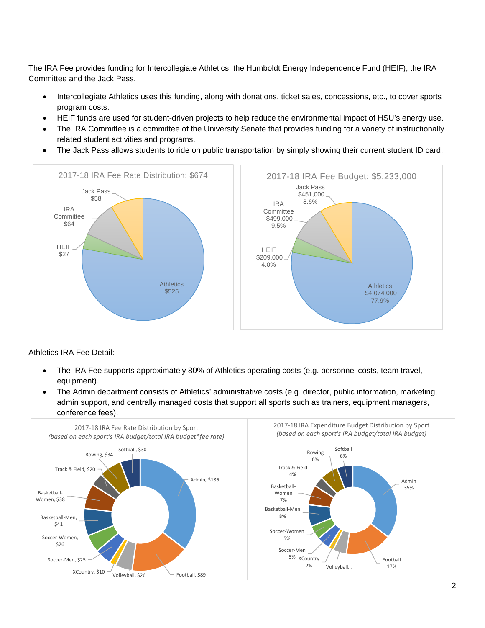The IRA Fee provides funding for Intercollegiate Athletics, the Humboldt Energy Independence Fund (HEIF), the IRA Committee and the Jack Pass.

- Intercollegiate Athletics uses this funding, along with donations, ticket sales, concessions, etc., to cover sports program costs.
- HEIF funds are used for student-driven projects to help reduce the environmental impact of HSU's energy use.
- The IRA Committee is a committee of the University Senate that provides funding for a variety of instructionally related student activities and programs.
- The Jack Pass allows students to ride on public transportation by simply showing their current student ID card.



Athletics IRA Fee Detail:

- The IRA Fee supports approximately 80% of Athletics operating costs (e.g. personnel costs, team travel, equipment).
- The Admin department consists of Athletics' administrative costs (e.g. director, public information, marketing, admin support, and centrally managed costs that support all sports such as trainers, equipment managers, conference fees).

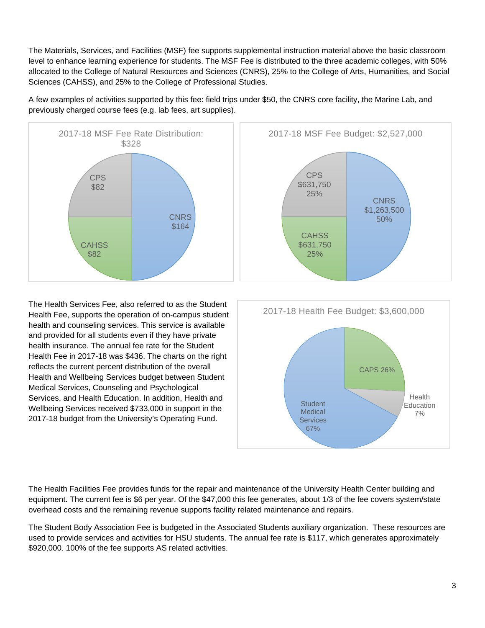The Materials, Services, and Facilities (MSF) fee supports supplemental instruction material above the basic classroom level to enhance learning experience for students. The MSF Fee is distributed to the three academic colleges, with 50% allocated to the College of Natural Resources and Sciences (CNRS), 25% to the College of Arts, Humanities, and Social Sciences (CAHSS), and 25% to the College of Professional Studies.

A few examples of activities supported by this fee: field trips under \$50, the CNRS core facility, the Marine Lab, and previously charged course fees (e.g. lab fees, art supplies).



The Health Services Fee, also referred to as the Student Health Fee, supports the operation of on-campus student health and counseling services. This service is available and provided for all students even if they have private health insurance. The annual fee rate for the Student Health Fee in 2017-18 was \$436. The charts on the right reflects the current percent distribution of the overall Health and Wellbeing Services budget between Student Medical Services, Counseling and Psychological Services, and Health Education. In addition, Health and Wellbeing Services received \$733,000 in support in the 2017-18 budget from the University's Operating Fund.



The Health Facilities Fee provides funds for the repair and maintenance of the University Health Center building and equipment. The current fee is \$6 per year. Of the \$47,000 this fee generates, about 1/3 of the fee covers system/state overhead costs and the remaining revenue supports facility related maintenance and repairs.

The Student Body Association Fee is budgeted in the Associated Students auxiliary organization. These resources are used to provide services and activities for HSU students. The annual fee rate is \$117, which generates approximately \$920,000. 100% of the fee supports AS related activities.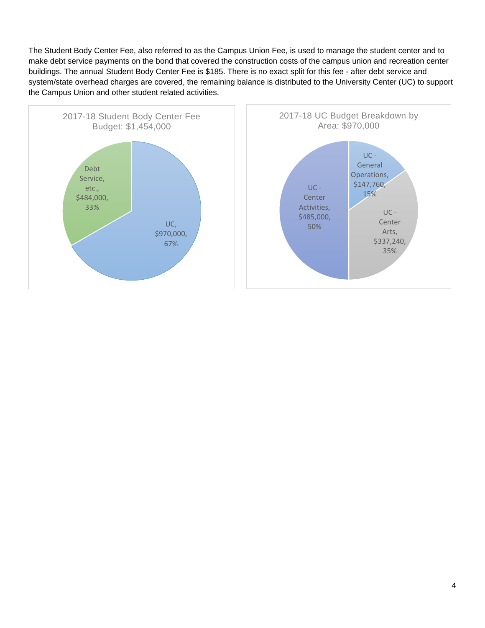The Student Body Center Fee, also referred to as the Campus Union Fee, is used to manage the student center and to make debt service payments on the bond that covered the construction costs of the campus union and recreation center buildings. The annual Student Body Center Fee is \$185. There is no exact split for this fee - after debt service and system/state overhead charges are covered, the remaining balance is distributed to the University Center (UC) to support the Campus Union and other student related activities.

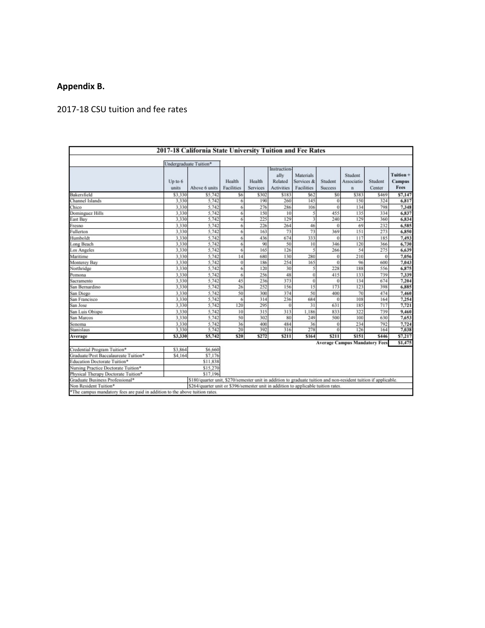## **Appendix B.**

## 2017-18 CSU tuition and fee rates

|                                                                             |         | 2017-18 California State University Tuition and Fee Rates                                                       |            |          |                   |                         |                |                                      |             |                                    |
|-----------------------------------------------------------------------------|---------|-----------------------------------------------------------------------------------------------------------------|------------|----------|-------------------|-------------------------|----------------|--------------------------------------|-------------|------------------------------------|
|                                                                             |         |                                                                                                                 |            |          |                   |                         |                |                                      |             |                                    |
|                                                                             |         | Undergraduate Tuition*                                                                                          |            |          | Instruction       |                         |                |                                      |             |                                    |
|                                                                             | Up to 6 |                                                                                                                 | Health     | Health   | ally<br>Related   | Materials<br>Services & | Student        | Student<br>Associatio                | Student     | Tuition +<br><b>Campus</b><br>Fees |
|                                                                             | units   | Above 6 units                                                                                                   | Facilities | Services | <b>Activities</b> | <b>Facilities</b>       | <b>Success</b> | $\mathbf{n}$                         | Center      |                                    |
| Bakersfield                                                                 | \$3,330 | S5.742                                                                                                          | S6         | \$302    | \$183             | \$62                    | \$0            | \$383                                | \$469       | S7,147                             |
| Channel Islands                                                             | 3.330   | 5.742                                                                                                           | 6          | 190      | 260               | 145                     | $\overline{0}$ | 150                                  | 324         | 6,817                              |
| Chico                                                                       | 3.330   | 5.742                                                                                                           | 6          | 276      | 286               | 106                     | $\Omega$       | 134                                  | 798         | 7.348                              |
| Dominguez Hills                                                             | 3.330   | 5.742                                                                                                           | 6          | 150      | 10                | 5                       | 455            | 135                                  | 334         | 6,837                              |
| East Bay                                                                    | 3.330   | 5.742                                                                                                           | 6          | 225      | 129               | 3                       | 240            | 129                                  | 360         | 6,834                              |
| Fresno                                                                      | 3.330   | 5.742                                                                                                           | 6          | 226      | 264               | 46                      | $\bf{0}$       | 69                                   | 232         | 6,585                              |
| Fullerton                                                                   | 3.330   | 5,742                                                                                                           | 6          | 163      | 73                | 73                      | 369            | 151                                  | 273         | 6,850                              |
| Humboldt                                                                    | 3.330   | 5,742                                                                                                           | 6          | 436      | 674               | 333                     | $\Omega$       | 117                                  | 185         | 7,493                              |
| Long Beach                                                                  | 3.330   | 5.742                                                                                                           | 6          | 90       | 50                | 10                      | 346            | 120                                  | 366         | 6,730                              |
| Los Angeles                                                                 | 3.330   | 5,742                                                                                                           | 6          | 165      | 126               | ۹                       | 266            | 54                                   | 275         | 6,639                              |
| Maritime                                                                    | 3.330   | 5.742                                                                                                           | 14         | 680      | 130               | 280                     | $\bf{0}$       | 210                                  | $\theta$    | 7,056                              |
| Monterey Bay                                                                | 3.330   | 5.742                                                                                                           | $\bf{0}$   | 186      | 254               | 165                     | $\bf{0}$       | 96                                   | 600         | 7,043                              |
| Northridge                                                                  | 3.330   | 5,742                                                                                                           | 6          | 120      | 30                | 5                       | 228            | 188                                  | 556         | 6,875                              |
| Pomona                                                                      | 3.330   | 5.742                                                                                                           | 6          | 256      | 48                | 0                       | 415            | 133                                  | 739         | 7.339                              |
| Sacramento                                                                  | 3.330   | 5.742                                                                                                           | 45         | 236      | 373               | 0                       | $\bf{0}$       | 134                                  | 674         | 7,204                              |
| San Bernardino                                                              | 3.330   | 5,742                                                                                                           | 26         | 252      | 156               | 15                      | 173            | 123                                  | 398         | 6,885                              |
| San Diego                                                                   | 3.330   | 5.742                                                                                                           | 50         | 300      | 374               | 50                      | 400            | 70                                   | 474         | 7,460                              |
| San Francisco                                                               | 3.330   | 5.742                                                                                                           | 6          | 314      | 236               | 684                     | $\Omega$       | 108                                  | 164         | 7,254                              |
| San Jose                                                                    | 3.330   | 5.742                                                                                                           | 120        | 295      | $\bf{0}$          | 31                      | 631            | 185                                  | 717         | 7,721                              |
| San Luis Obispo                                                             | 3.330   | 5.742                                                                                                           | 10         | 315      | 313               | 1.186                   | 833            | 322                                  | 739         | 9,460                              |
| San Marcos                                                                  | 3.330   | 5.742                                                                                                           | 50         | 302      | 80                | 249                     | 500            | 100                                  | 630         | 7,653                              |
| Sonoma                                                                      | 3.330   | 5,742                                                                                                           | 36         | 400      | 484               | 36                      | $\bf{0}$       | 234                                  | 792         | 7,724                              |
| Stanislaus                                                                  | 3.330   | 5.742                                                                                                           | 20         | 392      | 316               | 278                     | $\bf{0}$       | 126                                  | 164         | 7,038                              |
| Average                                                                     | \$3,330 | \$5,742                                                                                                         | \$20       | \$272    | \$211             | \$164                   | \$211          | \$151                                | <b>S446</b> | \$7,217                            |
| Credential Program Tuition*                                                 | \$3,864 | \$6,660                                                                                                         |            |          |                   |                         |                | <b>Average Campus Mandatory Fees</b> |             | \$1,475                            |
|                                                                             |         | \$7,176                                                                                                         |            |          |                   |                         |                |                                      |             |                                    |
| Graduate/Post Baccalaureate Tuition*<br>Education Doctorate Tuition*        | \$4,164 | \$11,838                                                                                                        |            |          |                   |                         |                |                                      |             |                                    |
|                                                                             |         |                                                                                                                 |            |          |                   |                         |                |                                      |             |                                    |
| Nursing Practice Doctorate Tuition*                                         |         | \$15,270<br>S17.196                                                                                             |            |          |                   |                         |                |                                      |             |                                    |
| Physical Therapy Doctorate Tuition*                                         |         |                                                                                                                 |            |          |                   |                         |                |                                      |             |                                    |
| Graduate Business Professional*                                             |         | \$180/quarter unit, \$270/semester unit in addition to graduate tuition and non-resident tuition if applicable. |            |          |                   |                         |                |                                      |             |                                    |
| Non Resident Tuition*                                                       |         | \$264/quarter unit or \$396/semester unit in addition to applicable tuition rates.                              |            |          |                   |                         |                |                                      |             |                                    |
| *The campus mandatory fees are paid in addition to the above tuition rates. |         |                                                                                                                 |            |          |                   |                         |                |                                      |             |                                    |